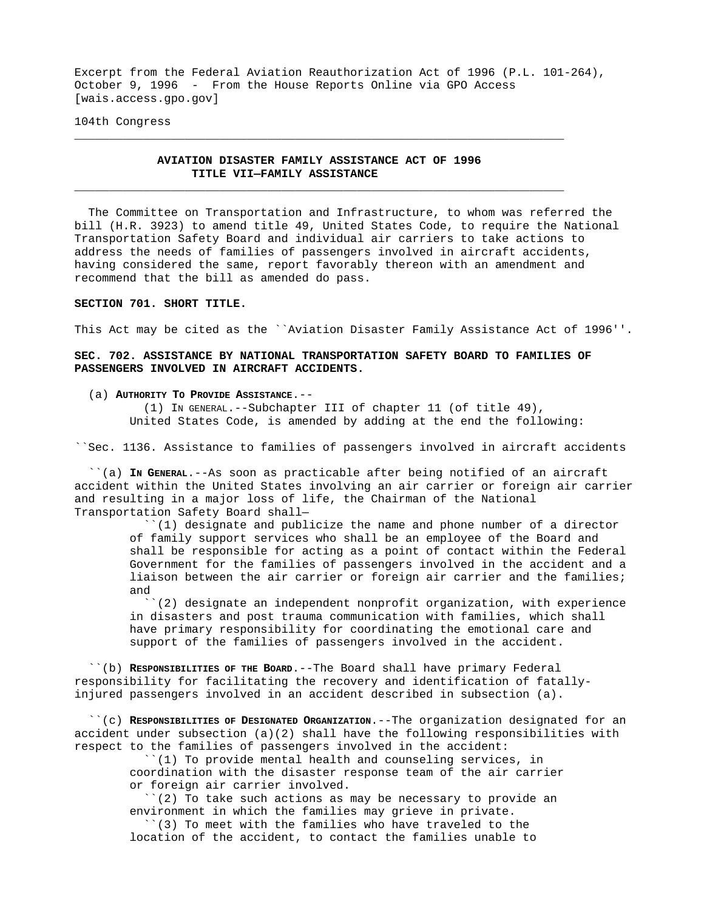Excerpt from the Federal Aviation Reauthorization Act of 1996 (P.L. 101-264), October 9, 1996 - From the House Reports Online via GPO Access [wais.access.gpo.gov]

104th Congress

# **AVIATION DISASTER FAMILY ASSISTANCE ACT OF 1996 TITLE VII—FAMILY ASSISTANCE** \_\_\_\_\_\_\_\_\_\_\_\_\_\_\_\_\_\_\_\_\_\_\_\_\_\_\_\_\_\_\_\_\_\_\_\_\_\_\_\_\_\_\_\_\_\_\_\_\_\_\_\_\_\_\_\_\_\_\_\_\_\_\_\_\_\_\_\_\_\_\_

\_\_\_\_\_\_\_\_\_\_\_\_\_\_\_\_\_\_\_\_\_\_\_\_\_\_\_\_\_\_\_\_\_\_\_\_\_\_\_\_\_\_\_\_\_\_\_\_\_\_\_\_\_\_\_\_\_\_\_\_\_\_\_\_\_\_\_\_\_\_\_

 The Committee on Transportation and Infrastructure, to whom was referred the bill (H.R. 3923) to amend title 49, United States Code, to require the National Transportation Safety Board and individual air carriers to take actions to address the needs of families of passengers involved in aircraft accidents, having considered the same, report favorably thereon with an amendment and recommend that the bill as amended do pass.

## **SECTION 701. SHORT TITLE.**

This Act may be cited as the ``Aviation Disaster Family Assistance Act of 1996''.

## **SEC. 702. ASSISTANCE BY NATIONAL TRANSPORTATION SAFETY BOARD TO FAMILIES OF PASSENGERS INVOLVED IN AIRCRAFT ACCIDENTS.**

#### (a) **AUTHORITY TO PROVIDE ASSISTANCE**.--

 (1) IN GENERAL.--Subchapter III of chapter 11 (of title 49), United States Code, is amended by adding at the end the following:

``Sec. 1136. Assistance to families of passengers involved in aircraft accidents

 ``(a) **IN GENERAL**.--As soon as practicable after being notified of an aircraft accident within the United States involving an air carrier or foreign air carrier and resulting in a major loss of life, the Chairman of the National Transportation Safety Board shall—

 ``(1) designate and publicize the name and phone number of a director of family support services who shall be an employee of the Board and shall be responsible for acting as a point of contact within the Federal Government for the families of passengers involved in the accident and a liaison between the air carrier or foreign air carrier and the families; and

 ``(2) designate an independent nonprofit organization, with experience in disasters and post trauma communication with families, which shall have primary responsibility for coordinating the emotional care and support of the families of passengers involved in the accident.

 ``(b) **RESPONSIBILITIES OF THE BOARD**.--The Board shall have primary Federal responsibility for facilitating the recovery and identification of fatallyinjured passengers involved in an accident described in subsection (a).

 ``(c) **RESPONSIBILITIES OF DESIGNATED ORGANIZATION**.--The organization designated for an accident under subsection  $(a)(2)$  shall have the following responsibilities with respect to the families of passengers involved in the accident:

 ``(1) To provide mental health and counseling services, in coordination with the disaster response team of the air carrier or foreign air carrier involved.

 ``(2) To take such actions as may be necessary to provide an environment in which the families may grieve in private.

 ``(3) To meet with the families who have traveled to the location of the accident, to contact the families unable to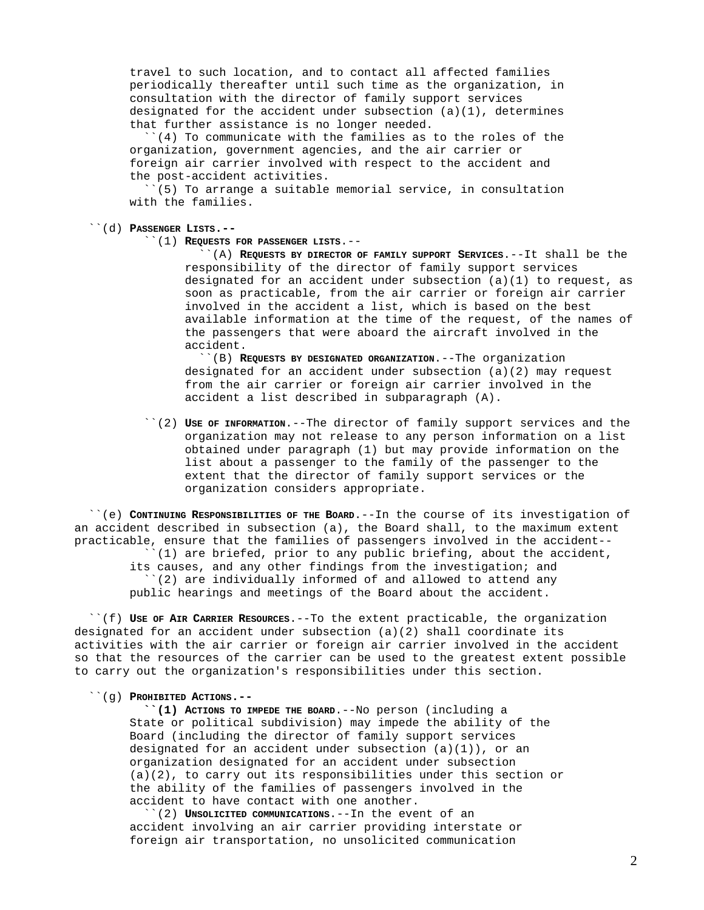travel to such location, and to contact all affected families periodically thereafter until such time as the organization, in consultation with the director of family support services designated for the accident under subsection  $(a)(1)$ , determines that further assistance is no longer needed.

 ``(4) To communicate with the families as to the roles of the organization, government agencies, and the air carrier or foreign air carrier involved with respect to the accident and the post-accident activities.

 $(5)$  To arrange a suitable memorial service, in consultation with the families.

- ``(d) **PASSENGER LISTS.--**
	- ``(1) **REQUESTS FOR PASSENGER LISTS**.--

 ``(A) **REQUESTS BY DIRECTOR OF FAMILY SUPPORT SERVICES**.--It shall be the responsibility of the director of family support services designated for an accident under subsection  $(a)(1)$  to request, as soon as practicable, from the air carrier or foreign air carrier involved in the accident a list, which is based on the best available information at the time of the request, of the names of the passengers that were aboard the aircraft involved in the accident.

 ``(B) **REQUESTS BY DESIGNATED ORGANIZATION**.--The organization designated for an accident under subsection (a)(2) may request from the air carrier or foreign air carrier involved in the accident a list described in subparagraph (A).

 ``(2) **USE OF INFORMATION**.--The director of family support services and the organization may not release to any person information on a list obtained under paragraph (1) but may provide information on the list about a passenger to the family of the passenger to the extent that the director of family support services or the organization considers appropriate.

 ``(e) **CONTINUING RESPONSIBILITIES OF THE BOARD**.--In the course of its investigation of an accident described in subsection (a), the Board shall, to the maximum extent practicable, ensure that the families of passengers involved in the accident-- ``(1) are briefed, prior to any public briefing, about the accident, its causes, and any other findings from the investigation; and  $'(2)$  are individually informed of and allowed to attend any public hearings and meetings of the Board about the accident.

 ``(f) **USE OF AIR CARRIER RESOURCES**.--To the extent practicable, the organization designated for an accident under subsection (a)(2) shall coordinate its activities with the air carrier or foreign air carrier involved in the accident so that the resources of the carrier can be used to the greatest extent possible to carry out the organization's responsibilities under this section.

``(g) **PROHIBITED ACTIONS.--**

 **``(1) ACTIONS TO IMPEDE THE BOARD**.--No person (including a State or political subdivision) may impede the ability of the Board (including the director of family support services designated for an accident under subsection  $(a)(1)$ ), or an organization designated for an accident under subsection  $(a)(2)$ , to carry out its responsibilities under this section or the ability of the families of passengers involved in the accident to have contact with one another.

 ``(2) **UNSOLICITED COMMUNICATIONS**.--In the event of an accident involving an air carrier providing interstate or foreign air transportation, no unsolicited communication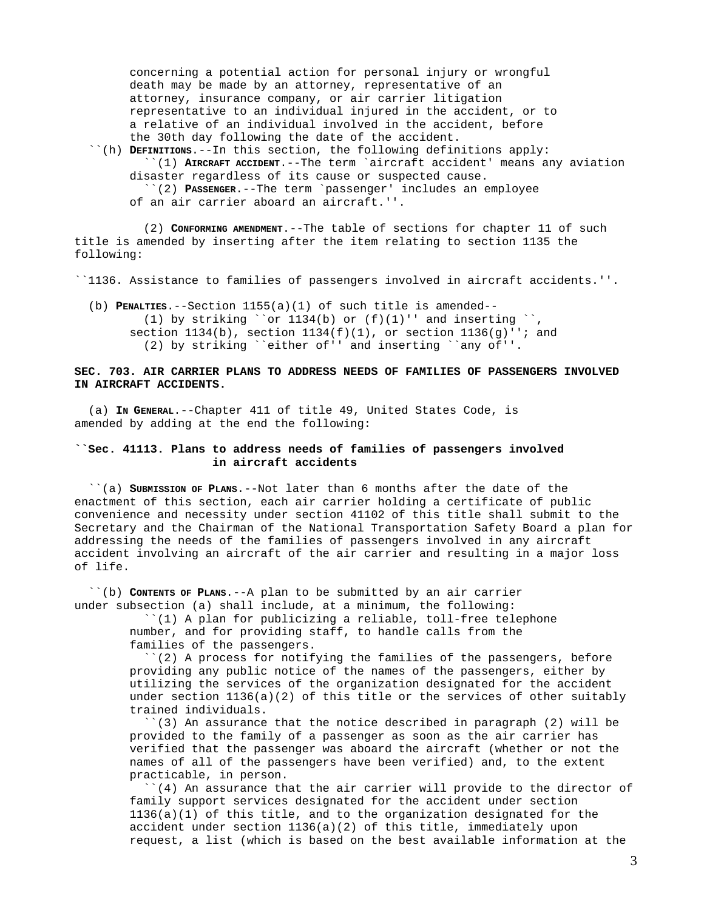concerning a potential action for personal injury or wrongful death may be made by an attorney, representative of an attorney, insurance company, or air carrier litigation representative to an individual injured in the accident, or to a relative of an individual involved in the accident, before the 30th day following the date of the accident.

 ``(h) **DEFINITIONS**.--In this section, the following definitions apply: ``(1) **AIRCRAFT ACCIDENT**.--The term `aircraft accident' means any aviation disaster regardless of its cause or suspected cause. ``(2) **PASSENGER**.--The term `passenger' includes an employee of an air carrier aboard an aircraft.''.

 (2) **CONFORMING AMENDMENT**.--The table of sections for chapter 11 of such title is amended by inserting after the item relating to section 1135 the following:

``1136. Assistance to families of passengers involved in aircraft accidents.''.

 (b) **PENALTIES**.--Section 1155(a)(1) of such title is amended-- (1) by striking ``or  $1134(b)$  or  $(f)(1)'$ ' and inserting ``, section  $1134(b)$ , section  $1134(f)(1)$ , or section  $1136(g)''$ ; and (2) by striking ``either of'' and inserting ``any of''.

### **SEC. 703. AIR CARRIER PLANS TO ADDRESS NEEDS OF FAMILIES OF PASSENGERS INVOLVED IN AIRCRAFT ACCIDENTS.**

 (a) **IN GENERAL**.--Chapter 411 of title 49, United States Code, is amended by adding at the end the following:

## **``Sec. 41113. Plans to address needs of families of passengers involved in aircraft accidents**

 ``(a) **SUBMISSION OF PLANS**.--Not later than 6 months after the date of the enactment of this section, each air carrier holding a certificate of public convenience and necessity under section 41102 of this title shall submit to the Secretary and the Chairman of the National Transportation Safety Board a plan for addressing the needs of the families of passengers involved in any aircraft accident involving an aircraft of the air carrier and resulting in a major loss of life.

 ``(b) **CONTENTS OF PLANS**.--A plan to be submitted by an air carrier under subsection (a) shall include, at a minimum, the following:

> ``(1) A plan for publicizing a reliable, toll-free telephone number, and for providing staff, to handle calls from the families of the passengers.

 ``(2) A process for notifying the families of the passengers, before providing any public notice of the names of the passengers, either by utilizing the services of the organization designated for the accident under section  $1136(a)(2)$  of this title or the services of other suitably trained individuals.

 ``(3) An assurance that the notice described in paragraph (2) will be provided to the family of a passenger as soon as the air carrier has verified that the passenger was aboard the aircraft (whether or not the names of all of the passengers have been verified) and, to the extent practicable, in person.

 ``(4) An assurance that the air carrier will provide to the director of family support services designated for the accident under section 1136(a)(1) of this title, and to the organization designated for the accident under section 1136(a)(2) of this title, immediately upon request, a list (which is based on the best available information at the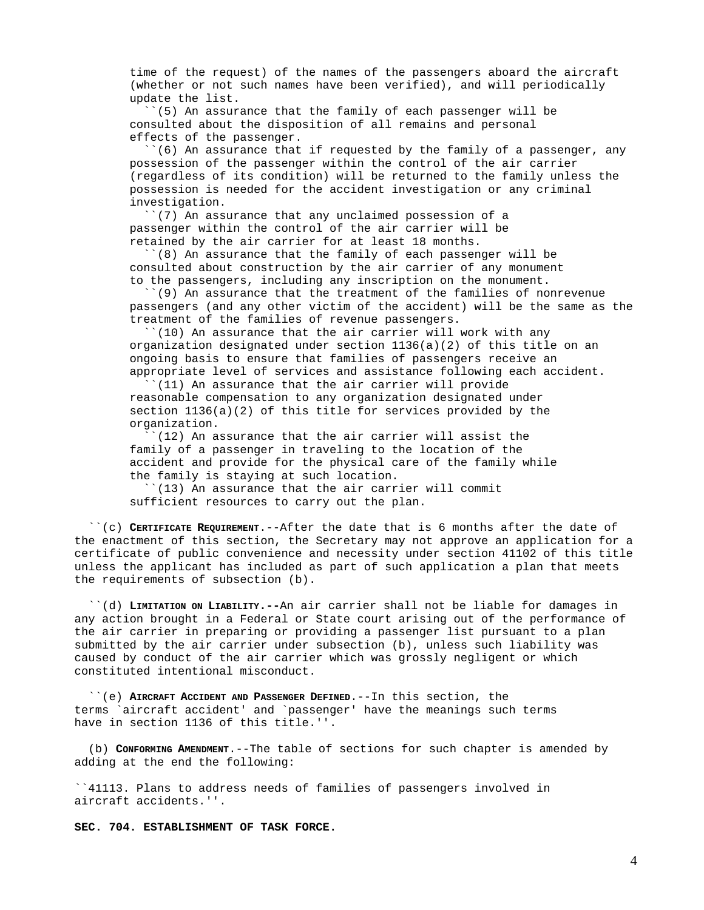time of the request) of the names of the passengers aboard the aircraft (whether or not such names have been verified), and will periodically update the list.

 ``(5) An assurance that the family of each passenger will be consulted about the disposition of all remains and personal effects of the passenger.

 ``(6) An assurance that if requested by the family of a passenger, any possession of the passenger within the control of the air carrier (regardless of its condition) will be returned to the family unless the possession is needed for the accident investigation or any criminal investigation.

 ``(7) An assurance that any unclaimed possession of a passenger within the control of the air carrier will be retained by the air carrier for at least 18 months.

 ``(8) An assurance that the family of each passenger will be consulted about construction by the air carrier of any monument to the passengers, including any inscription on the monument.

 ``(9) An assurance that the treatment of the families of nonrevenue passengers (and any other victim of the accident) will be the same as the treatment of the families of revenue passengers.

 ``(10) An assurance that the air carrier will work with any organization designated under section 1136(a)(2) of this title on an ongoing basis to ensure that families of passengers receive an appropriate level of services and assistance following each accident.

 $'(11)$  An assurance that the air carrier will provide reasonable compensation to any organization designated under section 1136(a)(2) of this title for services provided by the organization.

 ``(12) An assurance that the air carrier will assist the family of a passenger in traveling to the location of the accident and provide for the physical care of the family while the family is staying at such location.

 ``(13) An assurance that the air carrier will commit sufficient resources to carry out the plan.

 ``(c) **CERTIFICATE REQUIREMENT**.--After the date that is 6 months after the date of the enactment of this section, the Secretary may not approve an application for a certificate of public convenience and necessity under section 41102 of this title unless the applicant has included as part of such application a plan that meets the requirements of subsection (b).

 ``(d) **LIMITATION ON LIABILITY.--**An air carrier shall not be liable for damages in any action brought in a Federal or State court arising out of the performance of the air carrier in preparing or providing a passenger list pursuant to a plan submitted by the air carrier under subsection (b), unless such liability was caused by conduct of the air carrier which was grossly negligent or which constituted intentional misconduct.

 ``(e) **AIRCRAFT ACCIDENT AND PASSENGER DEFINED**.--In this section, the terms `aircraft accident' and `passenger' have the meanings such terms have in section 1136 of this title.''.

 (b) **CONFORMING AMENDMENT**.--The table of sections for such chapter is amended by adding at the end the following:

``41113. Plans to address needs of families of passengers involved in aircraft accidents.''.

**SEC. 704. ESTABLISHMENT OF TASK FORCE.**